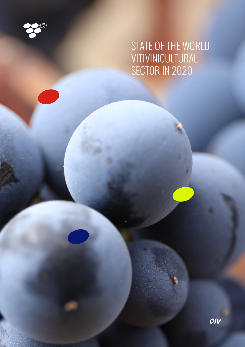

1 APRIL 2021 - Andrej Marie 19

# STATE OF THE WORLD VITIVINICULTURAL SECTOR IN 2020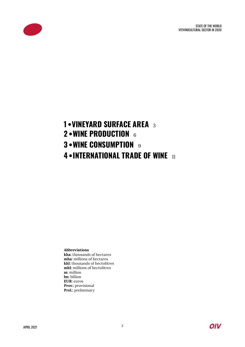STATE OF THE WORLD VITIVINICULTURAL SECTOR IN 2020



## **1 • VINEYARD SURFACE AREA** <sup>3</sup> **2 • WINE PRODUCTION** <sup>6</sup> **3 • WINE CONSUMPTION** 9 **4 • INTERNATIONAL TRADE OF WINE** <sup>11</sup>

**Abbreviations** 

**kha:** thousands of hectares **mha:** millions of hectares **khl:** thousands of hectolitres **mhl:** millions of hectolitres **m:** million **bn:** billion **EUR:** euros **Prov.:** provisional **Prel.:** preliminary

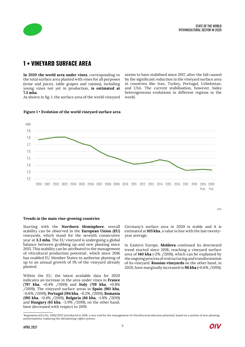

### **1 • VINEYARD SURFACE AREA**

**In 2020 the world area under vines**, corresponding to the total surface area planted with vines for all purposes (wine and juices, table grapes and raisins), including young vines not yet in production, **is estimated at 7.3 mha**.

As shown in fig. 1, the surface area of the world vineyard

seems to have stabilised since 2017, after the fall caused by the significant reduction in the vineyard surface area in countries like Iran, Turkey, Portugal, Uzbekistan, and USA. The current stabilisation, however, hides heterogeneous evolutions in different regions in the world.





#### **Trends in the main vine-growing countries**

Starting with the **Northern Hemisphere**, overall stability can be observed in the **European Union (EU)**  vineyards, which stand for the seventh consecutive year at **3.3 mha**. The EU vineyard is undergoing a global balance between grubbing up and new planting since 2015. This stability can be attributed to the management of viticultural production potential, which since 2016 has enabled EU Member States to authorise planting of up to an annual growth of 1% of the vineyard already planted.

Within the EU, the latest available data for 2020 indicates an increase in the area under vines in **France**  (**797 kha**, +0.4% /2019) and **Italy** (**719 kha**, +0.8% /2019). The vineyard surface areas in **Spain** (**961 kha**, -0.6% /2019), **Portugal** (**194 kha**, -0.2% /2019), **Romania** (**190 kha**, -0.4% /2019), **Bulgaria** (**66 kha**, -1.8% /2019) and **Hungary** (**65 kha**, -3.9% /2019), on the other hand, have decreased with respect to 2019.

Germany's surface area in 2020 is stable and it is estimated at **103 kha**, a value in line with the last twentyyear average.

In Eastern Europe, **Moldova** continued its downward trend started since 2018, reaching a vineyard surface area of **140 kha** (-2% /2019), which can be explained by the ongoing process of restructuring and transformation of its vineyard. **Russian vineyards** on the other hand, in 2020, have marginally increased to **96 kha** (+0.6% /2019).



©OIV

<sup>1</sup>Regulation (EU) No. 1308/2013 introduced in 2016, a new tool for the management of viticultural production potential, based on a system of new planting authorisations, replacing the old planting-rights system.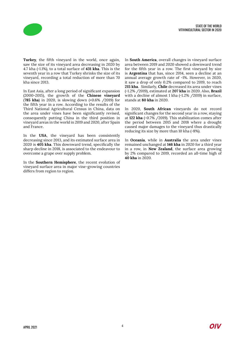



**Turkey**, the fifth vineyard in the world, once again, saw the size of its vineyard area decreasing in 2020 by 4.7 kha (-1.1%), to a total surface of **431 kha**. This is the seventh year in a row that Turkey shrinks the size of its vineyard, recording a total reduction of more than 70 kha since 2013.

In East Asia, after a long period of significant expansion (2000-2015), the growth of the **Chinese vineyard** (**785 kha**) in 2020, is slowing down (+0.6% /2019) for the fifth year in a row. According to the results of the Third National Agricultural Census in China, data on the area under vines have been significantly revised, consequently putting China in the third position in vineyard areas in the world in 2019 and 2020, after Spain and France.

In the **USA**, the vineyard has been consistently decreasing since 2013, and its estimated surface area in 2020 is **405 kha**. This downward trend, specifically the sharp decline in 2018, is associated to the endeavour to overcome a grape over supply problem.

In the **Southern Hemisphere**, the recent evolution of vineyard surface area in major vine-growing countries differs from region to region.

In **South America**, overall changes in vineyard surface area between 2019 and 2020 showed a downward trend for the fifth year in a row. The first vineyard by size is **Argentina** that has, since 2014, seen a decline at an annual average growth rate of -1%. However, in 2020, it saw a drop of only 0.2% compared to 2019, to reach **215 kha**. Similarly, **Chile** decreased its area under vines (-1.2% /2019), estimated at **207 kha** in 2020. Also, **Brazil** with a decline of almost 1 kha (-1.2% / 2019) in surface, stands at **80 kha** in 2020.

In 2020, **South African** vineyards do not record significant changes for the second year in a row, staying at **122 kha** (-0.7% /2019). This stabilization comes after the period between 2015 and 2018 where a drought caused major damages to the vineyard thus drastically reducing its size by more than 10 kha (-8%).

In **Oceania**, while in **Australia** the area under vines remained unchanged at **146 kha** in 2020 for a third year in a row, in **New Zealand**, the surface area growing by 2% compared to 2019, recorded an all-time high of **40 kha** in 2020.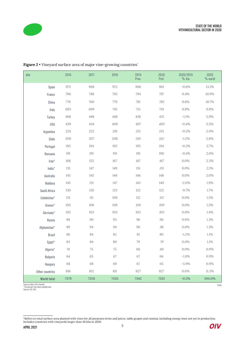

| kha                | 2016 | 2017 | 2018   | 2019<br>Prov. | 2020<br>Prel. | 2020/2019<br>$%$ Var. | 2020<br>% world |
|--------------------|------|------|--------|---------------|---------------|-----------------------|-----------------|
| Spain              | 975  | 968  | 972    | 966           | 961           | $-0.6%$               | 13.1%           |
| France             | 786  | 788  | 792    | 794           | 797           | 0.4%                  | 10.9%           |
| China              | 770  | 760  | 779    | 781           | 785           | 0.6%                  | 10.7%           |
| Italy              | 693  | 699  | 701    | 713           | 719           | 0.8%                  | 9.8%            |
| Turkey             | 468  | 448  | 448    | 436           | 431           | $-1.1%$               | 5.9%            |
| <b>USA</b>         | 439  | 434  | 408    | 407           | 405           | $-0.4%$               | $5.5\%$         |
| Argentina          | 224  | 222  | 218    | $215\,$       | $215\,$       | $-0.2%$               | 2.9%            |
| Chile              | 209  | 207  | 208    | 210           | 207           | $-1.2%$               | 2.8%            |
| Portugal           | 195  | 194  | 192    | 195           | 194           | $-0.2%$               | 2.7%            |
| Romania            | 191  | 191  | 191    | 191           | 190           | $-0.4%$               | 2.6%            |
| Iran*              | 168  | 153  | 167    | 167           | 167           | 0.0%                  | 2.3%            |
| India <sup>*</sup> | 131  | 147  | 149    | 151           | 151           | 0.0%                  | 2.1%            |
| Australia          | 145  | 145  | 146    | 146           | 146           | 0.0%                  | 2.0%            |
| Moldova            | 145  | 151  | 147    | 143           | 140           | $-2.0%$               | 1.9%            |
| South Africa       | 130  | 128  | 123    | 122           | 122           | $-0.7%$               | 1.7%            |
| Uzbekistan*        | 131  | 111  | 108    | 112           | 112           | 0.0%                  | 1.5%            |
| Greece*            | 105  | 106  | 108    | 109           | 109           | 0.0%                  | 1.5%            |
| Germany*           | 102  | 103  | 103    | 103           | 103           | 0.0%                  | 1.4%            |
| Russia             | 88   | 90   | 93     | 96            | 96            | 0.6%                  | 1.3%            |
| Afghanistan*       | 89   | 94   | 94     | 96            | 96            | 0.0%                  | 1.3%            |
| <b>Brazil</b>      | 86   | 84   | 82     | 81            | 80            | $-1.2%$               | 1.1%            |
| Egypt*             | 83   | 84   | 80     | 79            | 79            | 0.0%                  | 1.1%            |
| Algeria*           | 76   | 75   | $75\,$ | 66            | 66            | 0.0%                  | 0.9%            |
| Bulgaria           | 64   | 65   | 67     | 67            | 66            | $-1.8%$               | 0.9%            |
| Hungary            | 68   | 68   | 69     | 67            | 65            | $-3.9%$               | $0.9\%$         |
| Other countries    | 816  | 812  | 811    | 827           | 827           | 0.0%                  | 11.3%           |
| <b>World total</b> | 7379 | 7326 | 7333   | 7342          | 7331          | $-0.2%$               | 100.0%          |

Figure 2 • Vineyard surface area of major vine-growing countries<sup>2</sup>

Figure in Italics: OIV estimates \* Carried over from latest available data Sources: OIV, FAO.



©OIV

<sup>&</sup>lt;sup>2</sup>Refers to total surface area planted with vines for all purposes (wine and juices, table grapes and raisins), including young vines not yet in production.<br>Includes countries with vineyards larger than 50 kha in 2020.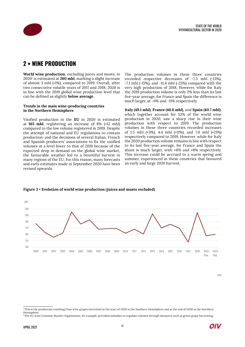

### **2 • WINE PRODUCTION**

**World wine production**, excluding juices and musts, in 20203 is estimated at **260 mhl**, marking a slight increase of almost 3 mhl (+1%), compared to 2019. Overall, after two consecutive volatile years of 2017 and 2018, 2020 is in line with the 2019 global wine production level that can be defined as slightly **below average**.

#### **Trends in the main wine-producing countries in the Northern Hemisphere**

Vinified production in the **EU** in 2020 is estimated at **165 mhl**, registering an increase of 8% (+12 mhl) compared to the low volume registered in 2019. Despite the attempt of national and EU regulations to contain production4 and the decisions of several Italian, French and Spanish producers' associations to fix the vinified volumes at a level lower to that of 2019 because of the expected drop in demand on the global wine market, the favourable weather led to a bountiful harvest in many regions of the EU. For this reason, many forecasts and early estimates made in September 2020 have been revised upwards.

The production volumes in these three countries recorded respective decreases of -7.3 mhl (-13%), -7.1 mhl (-15%), and -11.4 mhl (-25%) compared with the very high production of 2018. However, while for Italy the 2019 production volume is only 2% less than its last five-year average, for France and Spain the difference is much larger, at -6% and -11% respectively.

**Italy (49.1 mhl)**, **France (46.6 mhl)**, and **Spain (40.7 mhl)**, which together account for 53% of the world wine production in 2020, saw a sharp rise in their wine production with respect to 2019. The production volumes in these three countries recorded increases of 1.5 mhl (+3%), 4.4 mhl (+11%), and 7.0 mhl (+21%) respectively compared to 2019. However, while for Italy the 2020 production volume remains in line with respect to its last five-year average, for France and Spain the shoot is much larger, with +6% and +8% respectively. This increase could be accrued to a warm spring and summer, experienced in these countries that favoured an early and large 2020 harvest.



#### **Figure 3** • **Evolution of world wine production (juices and musts excluded)**

<sup>©</sup>OIV

<sup>&</sup>lt;sup>3</sup>This is the production resulting from wine grapes harvested at the start of 2020 in the Southern Hemisphere and at the end of 2020 in the Northern Hemisphere.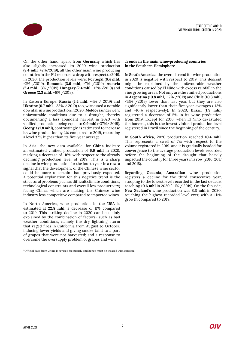

On the other hand, apart from **Germany** which has also slightly increased its 2020 wine production (**8.4 mhl**, +2%/2019), all the other main wine producing countries in the EU recorded a drop with respect to 2019. In 2020, the production levels were: **Portugal** (**6.4 mhl**, -2% /2019), **Romania** (**3.6 mhl**, -7% /2019), **Austria** (**2.4 mhl**, -3% /2019), **Hungary** (**2.4 mhl**, -12% /2019) and **Greece** (**2.3 mhl**, -6% /2019).

In Eastern Europe, **Russia** (**4.4 mhl**, -4% / 2019) and **Ukraine** (**0.7 mhl**, -33% / 2019) too, witnessed a notable downfall in wine production in 2020. **Moldova** underwent unfavourable conditions due to a drought, thereby documenting a less abundant harvest in 2020 with vinified production being equal to **0.9 mhl** (-37%/ 2019). **Georgia** (**1.8 mhl**), contrastingly, is estimated to increase its wine production by 2% compared to 2019, recording a level 37% higher than its five-year average.

In Asia, the new data available5 for **China** indicate an estimated vinified production of **6.6 mhl** in 2020, marking a decrease of -16% with respect to the already declining production level of 2019. This is a sharp decline in wine production for the fourth year in a row, a signal that the development of the Chinese wine sector could be more uncertain than previously expected. A potential explanation for this negative trend is the structural problems (such as difficult climate conditions, technological constraints and overall low productivity) facing China, which are making the Chinese wine industry less competitive compared to imported wines.

In North America, wine production in the **USA** is estimated at **22.8 mhl**, a decrease of 11% compared to 2019. This striking decline in 2020 can be mainly explained by the combination of factors- such as bad weather conditions, namely the dry lightning storm that raged fires in California from August to October, inducing lower yields and giving smoke taint to a part of grapes that were not harvested; and a response to overcome the oversupply problem of grapes and wine.

#### <sup>5</sup>Official data from China is revised frequently and hence must be treated with caution.

### **Trends in the main wine-producing countries in the Southern Hemisphere**

In **South America**, the overall trend for wine production in 2020 is negative with respect to 2019. This descent might be explained by the unfavourable weather conditions caused by El Niño with excess rainfall in the vine growing areas. Not only are the vinified productions in **Argentina** (**10.8 mhl**, -17% /2019) and **Chile** (**10.3 mhl**, -13% /2019) lower than last year, but they are also significantly lower than their five-year averages (-13% and -10% respectively). In 2020, **Brazil** (**1.9 mhl**) registered a decrease of 5% in its wine production from 2019. Except for 2016, when El Niño devastated the harvest, this is the lowest vinified production level registered in Brazil since the beginning of the century.

In **South Africa**, 2020 production reached **10.4 mhl**. This represents a swell of 7% with respect to the volume registered in 2019, and it is gradually headed for convergence to the average production levels recorded before the beginning of the drought that heavily impacted the country for three years in a row (2016, 2017 and 2018).

Regarding **Oceania**, **Australian** wine production registers a decline for the third consecutive year, stooping to the lowest level recorded in the last decade, reaching **10.6 mhl** in 2020 (-11% / 2019). On the flip side, **New Zealand's** wine production was **3.3 mhl** in 2020, touching the highest recorded level ever, with a +11% growth compared to 2019.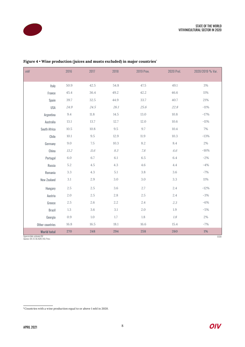

| mhl                            | 2016     | 2017     | 2018                      | 2019 Prov. | 2020 Prel. | 2020/2019 % Var. |
|--------------------------------|----------|----------|---------------------------|------------|------------|------------------|
|                                |          |          |                           |            |            |                  |
| Italy                          | 50.9     | 42.5     | 54.8                      | 47.5       | 49.1       | 3%               |
| France                         | 45.4     | 36.4     | 49.2                      | 42.2       | 46.6       | $11\%$           |
| Spain                          | 39.7     | 32.5     | 44.9                      | 33.7       | 40.7       | 21%              |
| <b>USA</b>                     | 24.9     | 24.5     | 26.1                      | 25.6       | 22.8       | $-11\%$          |
| Argentina                      | $9.4\,$  | $11.8\,$ | 14.5                      | $13.0\,$   | 10.8       | $-17%$           |
| Australia                      | $13.1\,$ | 13.7     | 12.7                      | $12.0\,$   | $10.6\,$   | $-11\%$          |
| South Africa                   | $10.5\,$ | 10.8     | 9.5                       | 9.7        | 10.4       | 7%               |
| Chile                          | $10.1\,$ | $9.5\,$  | 12.9                      | $11.9\,$   | 10.3       | $-13%$           |
| Germany                        | $9.0\,$  | 7.5      | 10.3                      | 8.2        | 8.4        | $2\%$            |
| China                          | 13.2     | $11.6\,$ | $\mathcal{G}.\mathcal{S}$ | 7.8        | 6.6        | $-16%$           |
| Portugal                       | $6.0\,$  | 6.7      | 6.1                       | $6.5\,$    | $6.4\,$    | $-2%$            |
| Russia                         | $5.2\,$  | $4.5\,$  | 4.3                       | $4.6\,$    | $4.4\,$    | $-4%$            |
| Romania                        | $3.3\,$  | $4.3\,$  | $5.1\,$                   | 3.8        | $3.6\,$    | $-7%$            |
| New Zealand                    | $3.1\,$  | 2.9      | 3.0                       | 3.0        | 3.3        | 11%              |
| Hungary                        | $2.5\,$  | $2.5\,$  | 3.6                       | 2.7        | 2.4        | $-12%$           |
| Austria                        | $2.0\,$  | $2.5\,$  | 2.8                       | $2.5\,$    | $2.4\,$    | $-3%$            |
| Greece                         | $2.5\,$  | 2.6      | 2.2                       | 2.4        | 2.3        | $-6%$            |
| <b>Brazil</b>                  | $1.3\,$  | $3.6\,$  | 3.1                       | 2.0        | 1.9        | $-5%$            |
| Georgia                        | $0.9\,$  | $1.0\,$  | 1.7                       | $1.8\,$    | $1.8\,$    | $2\%$            |
| Other countries                | 16.8     | 16.5     | 18.1                      | $16.6\,$   | 15.4       | $-7%$            |
| <b>World total</b>             | 270      | 248      | 294                       | 258        | 260        | 1%               |
| Figure in italic: estimate OIV |          |          |                           |            |            | <b>COIV</b>      |

Figure 4 • Wine production (juices and musts excluded) in major countries<sup>6</sup>

Figure in italic: estimate OIV Sources: OIV, EC DG AGRI, FAO, Press

 $\overline{\text{6}$  Countries with a wine production equal to or above 1 mhl in 2020.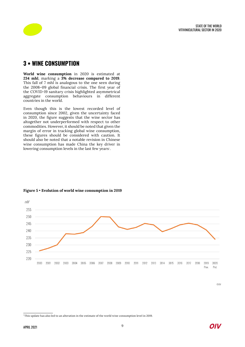

### **3 • WINE CONSUMPTION**

**World wine consumption** in 2020 is estimated at **234 mhl**, marking a **3% decrease compared to 2019**. This fall of 7 mhl is analogous to the one seen during the 2008–09 global financial crisis. The first year of the COVID-19 sanitary crisis highlighted asymmetrical aggregate consumption behaviours in different countries in the world.

Even though this is the lowest recorded level of consumption since 2002, given the uncertainty faced in 2020, the figure suggests that the wine sector has altogether not underperformed with respect to other commodities. However, it should be noted that given the margin of error in tracking global wine consumption, these figures should be considered with caution. It should also be noted that a notable revision in Chinese wine consumption has made China the key driver in lowering consumption levels in the last few years<sup>7</sup>.



### **Figure 5** • **Evolution of world wine consumption in 2019**

©OIV



<sup>7</sup>This update has also led to an alteration in the estimate of the world wine consumption level in 2019.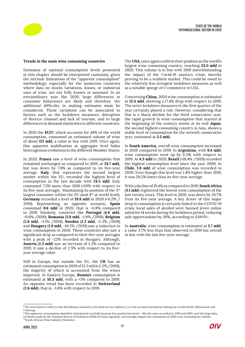

#### **Trends in the main wine consuming countries**

Estimates of national consumption levels presented in this chapter should be interpreted cautiously, given the intrinsic limitations of the "apparent consumption" methodology, especially for the numerous countries where data on stocks variations, losses, or industrial uses of wine, are not fully known or assessed. In an extraordinary year like 2020, large differences in consumer behaviours are likely and therefore, the additional difficulty in making estimates must be considered. These variations can be associated to factors such as the lockdown measures, disruption of Horeca<sup>®</sup> channel and lack of tourism, and to large differences in demand elasticities in different countries.

In 2020 the **EU27**, which accounts for 48% of the world consumption, consumed an estimated volume of wine of about **112 mhl**, a value in line with 2019. Once again, this apparent stabilisation at aggregate level hides heterogenous evolutions in the different Member States.

In 2020, **France** saw a level of wine consumption that remained unchanged as compared to 2019, at **24.7 mhl,**  but was down by 7.8% as compared to its five-year average. **Italy**, that represents the second largest market within the EU, recorded the highest level of consumption in the last decade with **24.5 mhl**. Italy consumed 7.5% more than 2019 (+10% with respect to its five-year average). Maintaining its position of the 3rd largest consumer within the EU (and  $4<sup>th</sup>$  at world level), **Germany** recorded a level of **19.8 mhl** in 2020 (+0.2% / 2019). Representing an opposite scenario, **Spain** consumed **9.6 mhl** in 2020, that is -6.8% compared to 2019. Similarly, countries like **Portugal** (**4.6 mhl**, -0.6% /2019), **Romania** (**3.8 mhl**, -1.9% /2019), **Belgium** (**2.6 mhl**, -3.1% /2019), **Sweden** (**2.2 mhl**, -2.3% /2019) and **Hungary** (**1.9 mhl**, -10.2% /2019) saw a reduction in wine consumption in 2020. These countries also saw a significant drop as compared to their five-year averages with a peak of -22% recorded in Hungary. Although, **Austria** (**2.3 mhl**) saw an increase of 2.2% compared to 2019, it saw a decline of 2.5% with respect to its fiveyear average value.

Still in Europe, but outside the EU, the **UK** has an estimated consumption in 2020 of 13.3 mhl (+2.2% /2019), the majority of which is accounted from the wines imported. In Eastern Europe, **Russia's** consumption is estimated at **10.3 mhl**, with a +3% compared to 2019. An opposite trend has been recorded in **Switzerland** (**2.6 mhl**), that is, -1.6% with respect to 2019.

The **USA**, once again confirm their position as the world's largest wine consuming country, reaching **33.0 mhl** in 2020. This volume is in line with 2019 notwithstanding the impact of the Covid-19 sanitary crisis, thereby proving to be a resilient market. This could be owed to the relatively less stringent lockdown measures as well as a notable spurge of e-commerce in USA.

Concerning **China**, 2020 wine consumption is estimated at **12.4 mhl**, showing a 17.4% drop with respect to 2019. The strict lockdown measures in the first quarter of the year certainly played a role. However, considering that this is a sharp decline for the third consecutive year, the rapid growth in wine consumption that started at the beginning of the century seems at its end<sup>9</sup>. Japan, the second highest consuming country in Asia, shows a stable level of consumption for the seventh consecutive year, estimated at **3.5 mhl**.

In **South America**, overall wine consumption increased in 2020 compared to 2019. In **Argentina**, with **9.4 mhl**, wine consumption went up by 6.5% with respect to 2019. At **4.3 mhl** in 2020, **Brazil** (+18.4% /2019) recorded the highest consumption level since the year 2000. In **Chile**, **1.8 mhl** of wine consumption was recorded in 2020. Even though this level was 1.4% higher than 2019, it was 20.2% lower than its five-year average.

With a decline of 19.4% as compared to 2019, **South Africa** (**3.1 mhl**) registered the lowest wine consumption of the last twenty years. This level in 2020, was down by 26.7% from its five-year average. A key driver of this major drop in consumption is certainly linked to the COVID-19 crisis: local sales of alcohol were banned (even online sales) for 14 weeks during the lockdown period, reducing sale opportunities by 30%, according to SAWIS<sup>10</sup>.

In **Australia**, wine consumption is estimated at **5.7 mhl**, a value 3.7% less than that observed in 2019 but overall in line with the last five-year average.

.



<sup>8</sup>The term Horeca refers to the distribution channel in the food service industry; it is the acronym formed by linking the words HOtel, REstaurant and CAtering.

<sup>9</sup>This apparent consumption should be interpreted carefully because low production levels - like the ones recorded in 2019 and 2020, and the large data revisions made by the National Bureau of Statistics (NBS) of China regularly, can strongly impact the estimation of 2020 wine consumption volume. <sup>10</sup> South African Wine Industry Statistics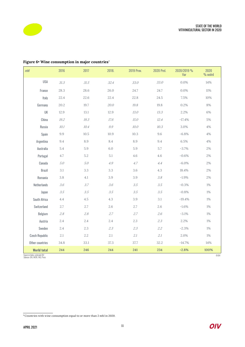

ń



| mhl                                                               | 2016                                   | 2017       | 2018.                     | 2019 Prov. | 2020 Prel.                                          | 2020/2019 %<br>Var | 2020<br>% wolrd |
|-------------------------------------------------------------------|----------------------------------------|------------|---------------------------|------------|-----------------------------------------------------|--------------------|-----------------|
| <b>USA</b>                                                        | $\mathcal{S}\mathcal{I}\mathcal{S}$    | $\it 31.5$ | 32.4                      | 33.0       | 33.0                                                | 0.0%               | 14%             |
| France                                                            | 28.3                                   | 28.6       | 26.0                      | 24.7       | 24.7                                                | 0.0%               | 11%             |
| Italy                                                             | 22.4                                   | 22.6       | 22.4                      | 22.8       | 24.5                                                | 7.5%               | 10%             |
| Germany                                                           | 20.2                                   | 19.7       | 20.0                      | 19.8       | 19.8                                                | 0.2%               | 8%              |
| UK                                                                | 12.9                                   | 13.1       | 12.9                      | 13.0       | 13.3                                                | 2.2%               | 6%              |
| China                                                             | 19.2                                   | $19.3\,$   | 17.6                      | 15.0       | 12.4                                                | $-17.4%$           | 5%              |
| Russia                                                            | 10.1                                   | 10.4       | $\mathcal{G}.\mathcal{G}$ | 10.0       | 10.3                                                | 3.0%               | 4%              |
| Spain                                                             | 9.9                                    | 10.5       | 10.9                      | 10.3       | 9.6                                                 | $-6.8%$            | 4%              |
| Argentina                                                         | 9.4                                    | 8.9        | 8.4                       | 8.9        | 9.4                                                 | 6.5%               | 4%              |
| Australia                                                         | $5.4\,$                                | $5.9\,$    | $6.0\,$                   | 5.9        | 5.7                                                 | $-3.7%$            | 2%              |
| Portugal                                                          | 4.7                                    | $5.2\,$    | 5.1                       | 4.6        | 4.6                                                 | $-0.6%$            | 2%              |
| Canada                                                            | $5.0\,$                                | 5.0        | 4.9                       | 4.7        | 4.4                                                 | $-6.0%$            | 2%              |
| <b>Brazil</b>                                                     | 3.1                                    | 3.3        | 3.3                       | 3.6        | 4.3                                                 | 18.4%              | 2%              |
| Romania                                                           | 3.8                                    | 4.1        | 3.9                       | 3.9        | $\ensuremath{\mathcal{3}}.\ensuremath{\mathcal{8}}$ | $-1.9%$            | 2%              |
| Netherlands                                                       | $3.6\,$                                | 3.7        | $3.6\,$                   | 3.5        | 3.5                                                 | $-0.3%$            | 1%              |
| Japan                                                             | $\ensuremath{\mathnormal{3.5}}\xspace$ | 3.5        | 3.5                       | 3.5        | 3.5                                                 | $-0.8%$            | 1%              |
| South Africa                                                      | 4.4                                    | $4.5\,$    | 4.3                       | 3.9        | 3.1                                                 | $-19.4%$           | 1%              |
| Switzerland                                                       | 2.7                                    | 2.7        | 2.6                       | 2.7        | 2.6                                                 | $-1.6%$            | 1%              |
| Belgium                                                           | $2.8\,$                                | $2.8\,$    | 2.7                       | 2.7        | 2.6                                                 | $-3.1%$            | 1%              |
| Austria                                                           | 2.4                                    | 2.4        | 2.4                       | 2.3        | 2.3                                                 | 2.2%               | 1%              |
| Sweden                                                            | 2.4                                    | 2.3        | 2.3                       | 2.3        | 2.2                                                 | $-2.3%$            | 1%              |
| <b>Czech Republic</b>                                             | 2.1                                    | 2.2        | 2.1                       | $2.1\,$    | 2.1                                                 | 2.0%               | 1%              |
| Other countries                                                   | 34.8                                   | $33.1\,$   | 37.3                      | 37.7       | 32.2                                                | $-14.7%$           | $14\%$          |
| <b>World total</b>                                                | 244                                    | 246        | 244                       | 241        | 234                                                 | $-2.8%$            | 100%            |
| Figure in italics: estimate OIV<br>Sources: OIV, IWSR, FAO, Press |                                        |            |                           |            |                                                     |                    | <b>COIV</b>     |

### Figure 6• Wine consumption in major countries<sup>11</sup>

11Countries with wine consumption equal to or more than 2 mhl in 2020.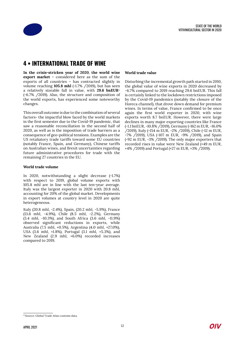

### **4 • INTERNATIONAL TRADE OF WINE**

**In the crisis-stricken year of 2020**, **the world wine export market** – considered here as the sum of the exports of all countries – has contracted slightly in volume reaching **105.8 mhl** (-1.7% / 2019), but has seen a relatively sizeable fall in value, with **29.6 bnEUR**<sup>12</sup> (-6.7% /2019). Also, the structure and composition of the world exports, has experienced some noteworthy changes.

This overall outcome is due to the combination of several factors- the impactful blow faced by the world markets in the first semester due to the Covid-19 pandemic, that saw a reasonable reconciliation in the second half of 2020, as well as is the imposition of trade barriers as a consequence of geo-political tensions. Examples are the US retaliatory trade tariffs toward some EU countries (notably France, Spain, and Germany), Chinese tariffs on Australian wines, and Brexit uncertainties regarding future administrative procedures for trade with the remaining 27 countries in the EU.

### **World trade volume**

In 2020, notwithstanding a slight decrease (-1.7%) with respect to 2019, global volume exports with 105.8 mhl are in line with the last ten-year average. Italy was the largest exporter in 2020 with 20.8 mhl, accounting for 20% of the global market. Developments in export volumes at country level in 2020 are quite heterogeneous.

Italy (20.8 mhl, -2.4%), Spain, (20.2 mhl, -5.9%), France (13.6 mhl, -4.9%), Chile (8.5 mhl, -2.2%), Germany (3.4 mhl, -10.3%), and South Africa (3.6 mhl, -11.9%) observed significant reductions in exports, while Australia (7.5 mhl, +0.5%), Argentina (4.0 mhl, +27.0%), USA (3.6 mhl, +1.8%), Portugal (3.1 mhl, +5.3%), and New Zealand (2.9 mhl, +6.0%) recorded increases compared to 2019.

#### **World trade value**

Disturbing the incremental growth path started in 2010, the global value of wine exports in 2020 decreased by -6.7% compared to 2019 reaching 29.6 bnEUR. This fall is certainly linked to the lockdown restrictions imposed by the Covid-19 pandemics (notably the closure of the Horeca channel), that drove down demand for premium wines. In terms of value, France confirmed to be once again the first world exporter in 2020, with wine exports worth 8.7 bnEUR. However, there were large declines in many major exporting countries like France (-1.1 bnEUR, -10.8% /2019), Germany (-162 m EUR, -16.0% /2019), Italy (-154 m EUR, -2% /2019), Chile (-12 m EUR, -7% /2019), USA (-107 m EUR, -9% /2019), and Spain (-92 m EUR, -3% /2019). The only major exporters that recorded rises in value were New Zealand (+49 m EUR, +4% /2019) and Portugal (+27 m EUR, +3% /2019).

<sup>&</sup>lt;sup>12</sup> Source: Global Trade Atlas customs data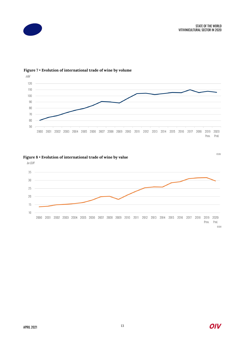



### **Figure 7** • **Evolution of international trade of wine by volume**

### **Figure 8 • Evolution of international trade of wine by value Superior COIV** COIV

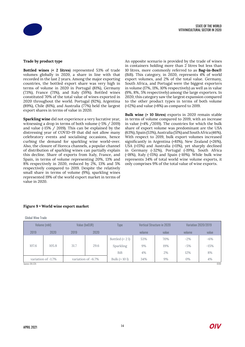

### **Trade by product type**

**Bottled wines** (**< 2 litres**) represented 53% of trade volumes globally in 2020, a share in line with that recorded in the last 2 years. Among the major exporting countries, the bottled export share was very high in terms of volume in 2020 in Portugal (81%), Germany (73%), France (71%), and Italy (59%). Bottled wines constituted 70% of the total value of wines exported in 2020 throughout the world. Portugal (92%), Argentina (89%), Chile (81%), and Australia (77%) held the largest export shares in terms of value in 2020.

**Sparkling wine** did not experience a very lucrative year, witnessing a drop in terms of both volume (-5% / 2019) and value (-15% / 2019). This can be explained by the distressing year of COVID-19 that did not allow many celebratory events and socialising occasions, hence curbing the demand for sparkling wine world-over. Also, the closure of Horeca channels, a popular channel of distribution of sparkling wines can partially explain this decline. Share of exports from Italy, France, and Spain, in terms of volume representing 20%, 13% and 8% respectively in 2020, reduced by 2%, 13% and 5% respectively compared to 2019. Despite the relatively small share in terms of volume (9%), sparkling wines represented 19% of the world export market in terms of value in 2020.

An opposite scenario is provided by the trade of wines in containers holding more than 2 litres but less than 10 litres, more commonly referred to as **Bag-in-Box**® (BiB). This category, in 2020, represents 4% of world export volumes, and 2% of the total value. Germany, South Africa, and Portugal were the biggest exporters in volume (17%, 11%, 10% respectively) as well as in value (9%, 8%, 5% respectively) among the large exporters. In 2020, this category saw the largest expansion compared to the other product types in terms of both volume (+12%) and value (+8%) as compared to 2019.

**Bulk wine** (**> 10 litres**) exports in 2020 remain stable in terms of volume compared to 2019, with an increase in value (+4% /2019). The countries for which the bulk share of export volume was predominant are the USA (63%), Spain (53%), Australia (51%) and South Africa (46%). With respect to 2019, bulk export volumes increased significantly in Argentina (+81%), New Zealand (+26%), USA (+15%) and Australia (+11%), yet sharply declined in Germany (-32%), Portugal (-19%), South Africa (-18%), Italy (-15%) and Spain (-10%). While bulk wine represents 34% of total world wine volume exports, it only comprises 9% of the total value of wine exports.

### **Figure 9** • **World wine export market**

Global Wine Trade

| Volume (mhl)                             |       | Value (bnEUR) |      | Type             | Vertical Structure in 2020 |       | Variation 2020/2019 |        |  |
|------------------------------------------|-------|---------------|------|------------------|----------------------------|-------|---------------------|--------|--|
| 2019                                     | 2020  | 2019          | 2020 |                  | volume                     | value | volume              | value  |  |
|                                          |       |               |      | Bottled $(< 21)$ | 53%                        | 70%   | $-2\%$              | $-6\%$ |  |
| 107.6                                    | 105.8 | 31.7          | 29.6 | Sparkling        | 9%                         | 19%   | $-5%$               | $-15%$ |  |
|                                          |       |               |      | BiB              | 4%                         | 2%    | 12%                 | 8%     |  |
| variation of -1.7%<br>variation of -6.7% |       | Bulk $(>10)$  | 34%  | 9%               | 0%                         | 4%    |                     |        |  |
| <b>COIV</b><br>Sources: OIV, GTA         |       |               |      |                  |                            |       |                     |        |  |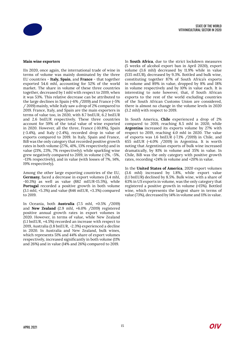

### **Main wine exporters**

IIn 2020, once again, the international trade of wine in terms of volume was mainly dominated by the three EU countries - **Italy, Spain**, and **France** - that together exported 54.6 mhl, accounting for 52% of the world market. The share in volume of these three countries together, decreased by 1 mhl with respect to 2019, when it was 53%. This relative decrease can be attributed to the large declines in Spain (-6% /2019) and France (-5% / 2019) mainly, while Italy saw a drop of 2% compared to 2019. France, Italy, and Spain are the main exporters in terms of value too, in 2020, with 8.7 bnEUR, 6.2 bnEUR and 2.6 bnEUR respectively. These three countries account for 59% of the total value of wine exported in 2020. However, all the three, France (-10.8%), Spain (-3.4%), and Italy (-2.4%), recorded drop in value of exports compared to 2019. In Italy, Spain and France, BiB was the only category that recorded positive growth rates in both volume (27%, 41%, 13% respectively) and in value (21%, 23%, 7% respectively); while sparkling wine grew negatively compared to 2019, in volume (-2%, -5%, -13% respectively), and in value (with losses of 7%, 14%, 19% respectively).

Among the other large exporting countries of the EU, **Germany**, faced a decrease in export volumes (3.4 mhl, -10.3%) as well as value (882 mEUR-15.5%), while **Portugal** recorded a positive growth in both volume (3.1 mhl, +5.3%) and value (846 mEUR, +3.3%) compared to 2019.

In Oceania, both **Australia** (7.5 mhl, +0.5% /2019) and **New Zealand** (2.9 mhl, +6.0% /2019) registered positive annual growth rates in export volumes in 2020. However, in terms of value, while New Zealand (1.1 bnEUR, +4.5%) recorded an increase with respect to 2019, Australia (1.8 bnEUR, -2.3%) experienced a decline in 2020. In Australia and New Zealand, bulk wines, which represents 51% and 44% share of export volumes respectively, increased significantly in both volume (11% and 26%) and in value (14% and 26%) compared to 2019.

In **South Africa**, due to the strict lockdown measures (5 weeks of alcohol export ban in April 2020), export volume (3.6 mhl) decreased by 11.9% while in value (535 mEUR), decreased by 9.3%. Bottled and bulk wine, constituting together 87% of South Africa's exports in volume and 89% in value, dropped by 8% and 18% in volume respectively and by 10% in value each. It is interesting to note however, that, if South African exports to the rest of the world excluding countries of the South African Customs Union are considered, there is almost no change in the volume levels in 2020 (3.2 mhl) with respect to 2019.

In South America, **Chile** experienced a drop of 2% compared to 2019, reaching 8.5 mhl in 2020, while **Argentina** increased its exports volume by 27% with respect to 2019, reaching 4.0 mhl in 2020. The value of exports was 1.6 bnEUR (-7.1% /2019) in Chile, and 655 mEUR (-4.0% /2019) in Argentina. It is worth noting that Argentinian exports of bulk wine increased dramatically, by 81% in volume and 35% in value. In Chile, BiB was the only category with positive growth rates, recording +24% in volume and +20% in value.

In the **United States of America**, 2020 export volumes (3.6 mhl) increased by 1.8%, while export value (1.1 bnEUR) declined by 8.5%. Bulk wine, with a share of 63% in US exports in volume, was the only category that registered a positive growth in volume (+15%). Bottled wine, which represents the largest share in terms of value (73%), decreased by 14% in volume and 11% in value.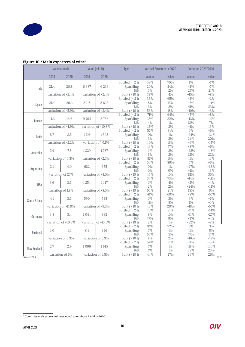

|                    | Volume (mhl)        |                     | Value (mEUR)        |                     | Type                             |              | Vertical Structure in 2020 |              | Variation 2020/2019 |  |
|--------------------|---------------------|---------------------|---------------------|---------------------|----------------------------------|--------------|----------------------------|--------------|---------------------|--|
|                    | 2019                | 2020                | 2019                | 2020                |                                  | volume       | value                      | volume       | value               |  |
|                    |                     |                     |                     |                     | Bottled $(< 21)$                 | 59%          | 70%                        | 1%           | $-1\%$              |  |
|                    | 21.4                | 20.8                | 6 3 8 7             | 6 2 3 3             | Sparkling                        | 20%          | 24%                        | $-2%$        | $-7%$               |  |
| Italy              |                     |                     |                     |                     | <b>BiB</b>                       | 3%           | 2%                         | 27%          | 21%                 |  |
|                    |                     | variation of -2.4%  |                     | variation of -2.4%  | Bulk $(>10)$                     | 19%          | 4%                         | $-15%$       | $-8%$               |  |
|                    |                     |                     |                     |                     | Bottled $(< 21)$                 | 36%          | 65%                        | $-2%$        | $-2%$               |  |
| Spain              | 21.4                | 20.2                | 2 718               | 2626                | Sparkling                        | $8\%$        | 15%                        | $-5%$        | $-14%$              |  |
|                    |                     |                     |                     |                     | <b>BiB</b>                       | 3%           | $2\%$                      | 41%          | 23%                 |  |
|                    |                     | variation of -5.9%  |                     | variation of -3.4%  | Bulk $(>10)$                     | 53%          | 18%                        | $-10%$       | $-3%$               |  |
|                    |                     |                     |                     |                     | Bottled $(< 21)$                 | 71%          | 64%                        | $-5%$        | $-8%$               |  |
| France             | 14.3                | 13.6                | 9794                | 8736                | Sparkling                        | 13%          | 32%                        | $-13%$       | $-19%$              |  |
|                    |                     |                     |                     |                     | <b>BiB</b>                       | $4\%$        | $1\%$                      | 13%          | 7%                  |  |
|                    |                     | variation of -4.9%  |                     | variation of -10.8% | Bulk $(>10)$<br>Bottled $(< 21)$ | 13%<br>57%   | 3%<br>81%                  | $-1\%$<br>0% | 16%<br>$-6%$        |  |
|                    | 8.7                 | 8.5                 | 1716                | 1595                | Sparkling                        | 0%           | 1%                         | $-24%$       | $-24%$              |  |
| Chile              |                     |                     |                     |                     | <b>BiB</b>                       | 3%           | 2%                         | 24%          | 20%                 |  |
|                    |                     | variation of -2.2%  |                     | variation of -7.1%  | Bulk $(>10)$                     | 40%          | 16%                        | $-6%$        | $-15%$              |  |
|                    |                     |                     |                     |                     | Bottled $(< 21)$                 | 43%          | 77%                        | $-8%$        | $-6%$               |  |
| Australia          | 7.4                 | 7.5                 | 1829                | 1787                | Sparkling                        | $1\%$        | 2%                         | $-22%$       | $-18%$              |  |
|                    |                     |                     |                     |                     | <b>BiB</b>                       | 6%           | 2%                         | 12%          | 22%                 |  |
|                    |                     | variation of 0.5%   |                     | variation of -2.3%  | Bulk $(>10)$                     | 51%          | 19%                        | 11%          | 14%                 |  |
|                    |                     |                     |                     |                     | Bottled $(< 21)$                 | 54%          | 89%                        | 5%           | $-6%$               |  |
|                    | 3.1                 | 4.0                 | 682                 | 655                 | Sparkling                        | $0\%$        | $1\%$                      | $-27%$       | $-38%$              |  |
| Argentina          |                     |                     |                     |                     | <b>BiB</b>                       | $0\%$        | 0%                         | $-1\%$       | 13%                 |  |
|                    | variation of 27%    |                     | variation of -4.0%  |                     | Bulk $(>101)$                    | 45%          | 10%                        | 81%          | 35%                 |  |
|                    |                     |                     |                     |                     | Bottled $(< 21)$                 | 34%          | 73%                        | $-14%$       | $-11%$              |  |
| <b>USA</b>         | 3.6                 | 3.6                 | 1254                | 1 1 4 7             | Sparkling                        | $1\%$        | 4%                         | $-2%$        | $-4%$               |  |
|                    |                     |                     |                     |                     | BiB                              | 2%           | 2%                         | $-24%$       | $-12%$              |  |
|                    |                     | variation of 1.8%   | variation of -8.5%  |                     | Bulk $(>101)$                    | 63%          | 21%                        | 15%          | 0%                  |  |
|                    |                     |                     |                     |                     | Bottled $(< 21)$                 | 41%          | 69%                        | $-8%$        | $-10%$              |  |
| South Africa       | 4.1                 | 3.6                 | 590                 | 535                 | Sparkling                        | $1\%$        | 3%                         | 9%           | $-6%$               |  |
|                    |                     |                     |                     |                     | <b>BiB</b>                       | 11%          | 8%                         | $1\%$        | $-3%$               |  |
|                    |                     | variation of -11.9% |                     | variation of -9.3%  | Bulk $(>10)$                     | 43%          | 20%                        | $-18%$       | $-10%$              |  |
|                    |                     |                     |                     |                     | Bottled $(< 21)$                 | 73%          | 81%                        | $-11\%$      | $-14%$              |  |
| Germany            | 3.8                 | 3.4                 | 1044                | 882                 | Sparkling                        | $8\%$        | 10%                        | $-11%$       | $-27%$              |  |
|                    |                     |                     |                     |                     | BiB                              | 17%          | 9%                         | $-3%$        | $-4%$               |  |
|                    | variation of -10.3% |                     | variation of -15.5% |                     | Bulk $(>10)$                     | 2%           | 1%                         | $-32%$       | $-8%$               |  |
|                    | 3.0                 | 3.1                 | 819                 | 846                 | Bottled $(< 21)$<br>Sparkling    | 81%<br>$1\%$ | 92%<br>$1\%$               | 7%<br>11%    | 3%<br>$0\%$         |  |
| Portugal           |                     |                     |                     |                     | <b>BiB</b>                       | 10%          | 5%                         | 17%          | 31%                 |  |
|                    |                     | variation of 5.3%   |                     | variation of 3.3%   | Bulk $(>101)$                    | 8%           | 2%                         | $-19%$       | $-17%$              |  |
|                    |                     |                     |                     |                     | Bottled $(< 21)$                 | 54%          | 71%                        | $-1\%$       | $-3%$               |  |
|                    | 2.7                 | 2.9                 | 1096                | 1145                | Sparkling                        | $1\%$        | $1\%$                      | 118%         | 150%                |  |
| <b>New Zealand</b> |                     |                     |                     |                     | BiB                              | 1%           | $1\%$                      | 59%          | 23%                 |  |
|                    |                     | variation of 6%     |                     | variation of 4.5%   | Bulk (> 10 l)                    | 44%          | 27%                        | 26%          | 26%                 |  |
|                    |                     |                     |                     |                     |                                  |              |                            |              |                     |  |

### **Figure 10 • Main exporters of wine**<sup>13</sup>

Sources: OIV, GTA ©OIV

 $\overline{\text{13}}$  Countries with export volumes equal to or above 2 mhl in 2020.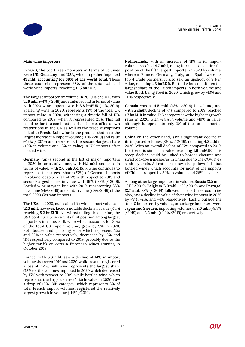

### **Main wine importers**

In 2020, the top three importers in terms of volumes were **UK**, **Germany**, and **USA**, which together imported **41 mhl, accounting for 39% of the world total**. These three countries represent 38% of the total value of world wine imports, reaching **11.5 bnEUR**.

The largest importer by volume in 2020 is the **UK**, with **14.6 mhl**, (+4% / 2019) and ranks second in terms of value with 2020 wine imports worth **3.8 bnEUR** (-4%/2019). Sparkling wine in 2020, represents 18% of the total UK import value in 2020, witnessing a drastic fall of 17% compared to 2019, when it represented 21%. This fall could be due to a combination of the impact of lockdown restrictions in the UK as well as the trade disruptions linked to Brexit. Bulk wine is the product that sees the largest increase in import volume (+11% /2019) and value (+12% / 2019) and represents the second-largest share (40% in volume and 18% in value) in UK imports after bottled wine.

**Germany** ranks second in the list of major importers of 2020 in terms of volume, with **14.1 mhl**, and third in terms of value, with **2.6 bnEUR**. Bulk wine continues to represent the largest share (57%) of German imports in volume, despite a fall of 7% with respect to 2019 and second-largest share in value with 19% ( -3% / 2019). Bottled wine stays in line with 2019, representing 38% in volume (+1%/2019) and 65% in value (+0%/2019) of the total 2020 German imports.

The **USA**, in 2020, maintained its wine import volume at **12.3 mhl**; however, faced a notable decline in value (-11%) reaching **5.2 bnEUR**. Notwithstanding this decline, the USA continues to secure its first position among largest importers in value. Bulk wine which accounts for 30% of the total US import volume, grew by 9% in 2020. Both bottled and sparkling wine, which represent 72% and 22% in value respectively, decreased by 12% and 11% respectively compared to 2019, probably due to the higher tariffs on certain European wines starting in October 2019.

**France**, with 6.3 mhl, saw a decline of 14% in import volumes between 2019 and 2020, while in value registered a loss of -12%. Bulk wine represents the largest share (78%) of the volumes imported in 2020 which decreased by 15% with respect to 2019; while bottled wine, which represents the largest share (54%) in value in 2020, saw a drop of 16%. BiB category, which represents 3% of total French import volumes, registered the relatively largest growth in volume (+14% /2019).

**Netherlands**, with an increase of 11% in its import volume, reached **4.7 mhl**, rising in ranks to acquire the position of the fifth largest importer in 2020 by volume; wherein France, Germany, Italy, and Spain were its top 4 trade partners. It also saw an upshoot of 9% in value, reaching **1.3 bnEUR**. Bottled wine constitutes the largest share of the Dutch imports in both volume and value (both being 85%) in 2020, which grew by +13% and +11% respectively.

**Canada** was at **4.5 mhl** (+8% /2019) in volume, and with a slight decline of -1% compared to 2019, reached **1.7 bnEUR** in value. BiB category saw the highest growth rates in 2020, with +24% in volume and +19% in value, although it represents only 2% of the total imported volume.

**China** on the other hand, saw a significant decline in its imported volumes (-30% / 2019), reaching **4.3 mhl** in 2020. With an overall decline of 27% compared to 2019, the trend is similar in value, reaching **1.6 bnEUR**. This steep decline could be linked to border closures and strict lockdown measures in China due to the COVID-19 sanitary crisis. All categories saw sharp downfalls, but bottled wines which accounts for most of the imports of China, dropped by 32% in volume and 26% in value.

Among other large importers in volume, **Russia** (3.5 mhl, -21% / 2019), **Belgium** (**3.0 mhl**, -4% / 2019), and **Portugal** (**2.7 mhl**, -8% / 2019) followed. These three countries also, saw a decline in value of their wine imports in 2020 by -9%, -2%, and -4% respectively. Lastly, outside the 'top 10 importers by volume', other large importers were **Japan** and **Sweden**, importing volumes of **2.6 mhl** (-8.8% /2019) and **2.2 mhl** (+2.9%/2019) respectively.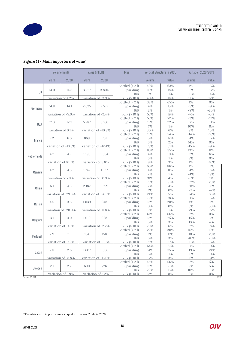

### **Figure 11** • **Main importers of wine**<sup>14</sup>

|                   | Volume (mhl)        |                     | Value (mEUR)        |                     | Type                        |           | <b>Vertical Structure in 2020</b> |          | <b>Variation 2020/2019</b> |  |
|-------------------|---------------------|---------------------|---------------------|---------------------|-----------------------------|-----------|-----------------------------------|----------|----------------------------|--|
|                   | 2019                | 2020                | 2019                | 2020                |                             | volume    | value                             | volume   | value                      |  |
|                   |                     |                     |                     |                     | Bottled $(< 2 1)$           | 49%       | 63%                               | $1\%$    | $-3%$                      |  |
| UK                | 14.0                | 14.6                | 3957                | 3804                | Sparkling                   | 10%       | 18%                               | $-5%$    | $-17%$                     |  |
|                   |                     |                     |                     |                     | <b>BiB</b>                  | 1%        | $1\%$                             | $-11\%$  | $-4%$                      |  |
|                   |                     | variation of 4.2%   |                     | variation of -3.9%  | Bulk $(>10)$                | 40%       | 18%                               | 11%      | 12%                        |  |
|                   |                     |                     |                     |                     | Bottled $(< 21)$            | 38%       | 65%                               | $1\%$    | 0%                         |  |
| Germany           | 14.8                | 14.1                | 2635                | 2 572               | Sparkling                   | $4\%$     | 15%                               | $-8%$    | $-9%$                      |  |
|                   |                     |                     |                     |                     | <b>BiB</b>                  | 2%        | 1%                                | $-8%$    | $-20%$                     |  |
|                   |                     | variation of -5.0%  |                     | variation of -2.4%  | Bulk (> 10 l)               | 57%       | 19%                               | $-7%$    | $-3%$                      |  |
|                   |                     |                     |                     |                     | Bottled $(< 21)$            | 57%       | 72%                               | $-3%$    | $-12%$                     |  |
| <b>USA</b>        | 12.3                | 12.3                | 5787                | 5 1 6 0             | Sparkling                   | 12%       | 22%                               | $-7%$    | $-11%$                     |  |
|                   |                     |                     |                     |                     | BiB                         | $1\%$     | 1%                                | 10%      | $8\%$                      |  |
|                   |                     | variation of 0.1%   |                     | variation of -10.8% | Bulk $(>10)$                | 30%       | 6%                                | 9%       | 10%                        |  |
|                   |                     |                     |                     |                     | Bottled $(< 21)$            | 15%       | 54%                               | $-14%$   | $-16%$                     |  |
| France            | 7.2                 | 6.3                 | 869                 | 761                 | Sparkling                   | 5%        | 12%                               | $-4%$    | $-5%$                      |  |
|                   |                     |                     |                     |                     | BiB                         | 3%        | 2%                                | 14%      | 0%                         |  |
|                   |                     | variation of -13.5% |                     | variation of -12.4% | Bulk $(>10)$                | 78%       | 31%                               | $-15%$   | $-9%$                      |  |
|                   |                     | 4.7                 | 1 1 9 8             |                     | Bottled $(< 21)$            | 85%       | 85%                               | 13%      | 11%                        |  |
| Netherlands       | 4.2                 |                     |                     | 1304                | Sparkling                   | $4\%$     | 10%                               | $-3%$    | 6%                         |  |
|                   |                     | variation of 10.7%  |                     | variation of 8.8%   | <b>BiB</b><br>Bulk $(>101)$ | 3%        | $1\%$<br>3%                       | 7%<br>1% | 0%<br>$-10%$               |  |
|                   |                     |                     |                     |                     | Bottled $(< 21)$            | 9%<br>63% | 86%                               | $1\%$    | $-1\%$                     |  |
| Canada            | 4.2                 | 4.5                 | 1742                | 1727                | Sparkling                   | 4%        | 8%                                | $-4%$    | $-8%$                      |  |
|                   |                     |                     |                     |                     | <b>BiB</b>                  | 2%        | 1%                                | 24%      | 19%                        |  |
|                   |                     | variation of 7.9%   |                     | variation of -0.9%  | Bulk $(>101)$               | 31%       | 4%                                | 26%      | 1%                         |  |
|                   |                     |                     |                     |                     | Bottled $(< 21)$            | 73%       | 91%                               | $-32%$   | $-26%$                     |  |
|                   | 6.1                 | 4.3                 | 2 1 8 2             | 1599                | Sparkling                   | 2%        | 4%                                | $-28%$   | $-16%$                     |  |
| China             |                     |                     |                     |                     | <b>BiB</b>                  | 1%        | 0%                                | $-27%$   | $-42%$                     |  |
|                   | variation of -29.8% |                     | variation of -26.7% |                     | Bulk $(>10)$                | 24%       | 5%                                | $-24%$   | $-38%$                     |  |
|                   |                     |                     |                     |                     | Bottled $(< 21)$            | 79%       | 78%                               | $-1\%$   | $-5%$                      |  |
|                   | 4.5                 | 3.5                 | 1039                | 948                 | Sparkling                   | 13%       | 20%                               | 4%       | $-1\%$                     |  |
| Russia            |                     |                     |                     |                     | <b>BiB</b>                  | 0%        | 0%                                | 8%       | $-50%$                     |  |
|                   |                     | variation of -20.9% |                     | variation of -8.8%  | Bulk $(>10)$                | 7%        | $1\%$                             | $-79%$   | $-77%$                     |  |
|                   |                     |                     |                     |                     | Bottled $(< 21)$            | 61%       | 66%                               | $-3%$    | 0%                         |  |
|                   | 3.1                 | 3.0                 | 1 0 1 0             | 988                 | Sparkling                   | 13%       | 25%                               | $-15%$   | $-7%$                      |  |
| Belgium           |                     |                     |                     |                     | <b>BiB</b>                  | $5\%$     | 3%                                | $-13%$   | 4%                         |  |
|                   |                     | variation of -4.1%  |                     | variation of -2.2%  | Bulk $(>10)$                | 20%       | 6%                                | $-2\%$   | $-8%$                      |  |
|                   |                     |                     |                     |                     | Bottled $(< 21)$            | 22%       | 30%                               | 16%      | 12%                        |  |
| Portugal          | 2.9                 | 2.7                 | 164                 | 158                 | Sparkling                   | $1\%$     | 11%                               | $-10%$   | $-25%$                     |  |
|                   |                     |                     |                     |                     | BiB                         | 3%        | 3%                                | $-40%$   | $-20%$                     |  |
|                   | variation of -7.9%  |                     |                     | variation of -3.7%  | Bulk $(>10)$                | 75%       | 57%                               | $-11%$   | $-3%$                      |  |
|                   |                     |                     |                     |                     | Bottled $(< 21)$            | 64%       | 61%                               | $-7%$    | $-9%$                      |  |
| Japan             | 2.8                 | 2.6                 | 1607                | 1366                | Sparkling                   | 14%       | 35%                               | $-19%$   | $-24%$                     |  |
|                   |                     |                     |                     |                     | BiB                         | 5%        | 1%                                | $-8%$    | $-9%$                      |  |
|                   |                     | variation of -8.8%  |                     | variation of -15.0% | Bulk $(>101)$               | 17%       | 3%                                | $-6%$    | $-14%$                     |  |
|                   |                     |                     |                     |                     | Bottled $(< 21)$            | 45%       | 56%                               | $-2%$    | 5%                         |  |
| Sweden            | 2.1                 | 2.2                 | 690                 | 726                 | Sparkling                   | 13%       | 21%                               | 9%       | 5%                         |  |
|                   |                     |                     |                     |                     | <b>BiB</b>                  | 29%       | 16%                               | 10%      | 10%                        |  |
| Sources: OIV, GTA |                     | variation of 2.9%   |                     | variation of 5.2%   | Bulk $(>101)$               | 13%       | 8%                                | 0%       | 0%<br>$\overline{CD}$      |  |

<sup>&</sup>lt;sup>14</sup>Countries with import volumes equal to or above 2 mhl in 2020.